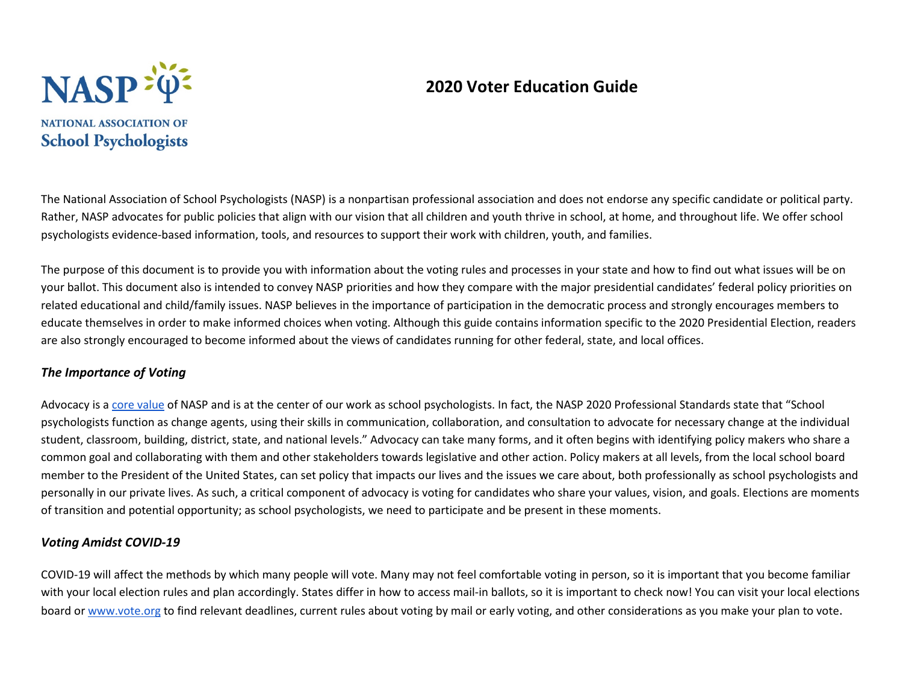# **2020 Voter Education Guide**



The National Association of School Psychologists (NASP) is a nonpartisan professional association and does not endorse any specific candidate or political party. Rather, NASP advocates for public policies that align with our vision that all children and youth thrive in school, at home, and throughout life. We offer school psychologists evidence-based information, tools, and resources to support their work with children, youth, and families.

The purpose of this document is to provide you with information about the voting rules and processes in your state and how to find out what issues will be on your ballot. This document also is intended to convey NASP priorities and how they compare with the major presidential candidates' federal policy priorities on related educational and child/family issues. NASP believes in the importance of participation in the democratic process and strongly encourages members to educate themselves in order to make informed choices when voting. Although this guide contains information specific to the 2020 Presidential Election, readers are also strongly encouraged to become informed about the views of candidates running for other federal, state, and local offices.

#### *The Importance of Voting*

Advocacy is a [core value](https://www.nasponline.org/utility/about-nasp/vision-core-purpose-core-values-and-strategic-goals#:%7E:text=Integrity%3A%20NASP%20is%20committed%20to,as%20they%20shape%20students) of NASP and is at the center of our work as school psychologists. In fact, the NASP 2020 Professional Standards state that "School psychologists function as change agents, using their skills in communication, collaboration, and consultation to advocate for necessary change at the individual student, classroom, building, district, state, and national levels." Advocacy can take many forms, and it often begins with identifying policy makers who share a common goal and collaborating with them and other stakeholders towards legislative and other action. Policy makers at all levels, from the local school board member to the President of the United States, can set policy that impacts our lives and the issues we care about, both professionally as school psychologists and personally in our private lives. As such, a critical component of advocacy is voting for candidates who share your values, vision, and goals. Elections are moments of transition and potential opportunity; as school psychologists, we need to participate and be present in these moments.

#### *Voting Amidst COVID-19*

COVID-19 will affect the methods by which many people will vote. Many may not feel comfortable voting in person, so it is important that you become familiar with your local election rules and plan accordingly. States differ in how to access mail-in ballots, so it is important to check now! You can visit your local elections boa[r](http://www.vote.org/)d or [www.vote.org](http://www.vote.org/) to find relevant deadlines, current rules about voting by mail or early voting, and other considerations as you make your plan to vote.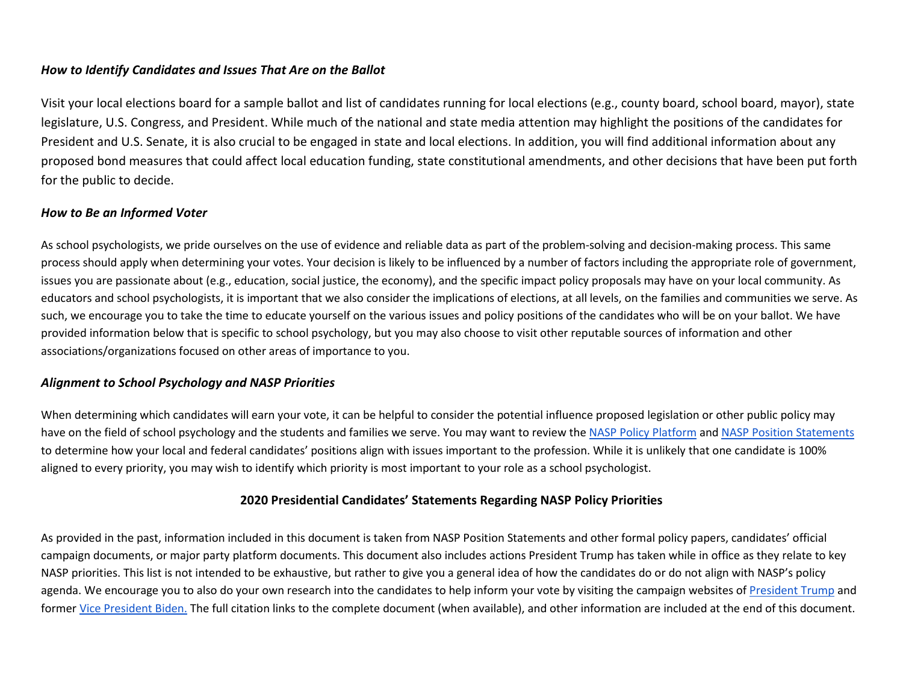#### *How to Identify Candidates and Issues That Are on the Ballot*

Visit your local elections board for a sample ballot and list of candidates running for local elections (e.g., county board, school board, mayor), state legislature, U.S. Congress, and President. While much of the national and state media attention may highlight the positions of the candidates for President and U.S. Senate, it is also crucial to be engaged in state and local elections. In addition, you will find additional information about any proposed bond measures that could affect local education funding, state constitutional amendments, and other decisions that have been put forth for the public to decide.

#### *How to Be an Informed Voter*

As school psychologists, we pride ourselves on the use of evidence and reliable data as part of the problem-solving and decision-making process. This same process should apply when determining your votes. Your decision is likely to be influenced by a number of factors including the appropriate role of government, issues you are passionate about (e.g., education, social justice, the economy), and the specific impact policy proposals may have on your local community. As educators and school psychologists, it is important that we also consider the implications of elections, at all levels, on the families and communities we serve. As such, we encourage you to take the time to educate yourself on the various issues and policy positions of the candidates who will be on your ballot. We have provided information below that is specific to school psychology, but you may also choose to visit other reputable sources of information and other associations/organizations focused on other areas of importance to you.

#### *Alignment to School Psychology and NASP Priorities*

When determining which candidates will earn your vote, it can be helpful to consider the potential influence proposed legislation or other public policy may have on the field of school psychology and the students and families we serve. You may want to review th[e NASP Policy Platform](https://www.nasponline.org/research-and-policy/policy-priorities/nasp-policy-platform) an[d NASP Position Statements](https://www.nasponline.org/research-and-policy/policy-priorities/position-statements) to determine how your local and federal candidates' positions align with issues important to the profession. While it is unlikely that one candidate is 100% aligned to every priority, you may wish to identify which priority is most important to your role as a school psychologist.

#### **2020 Presidential Candidates' Statements Regarding NASP Policy Priorities**

As provided in the past, information included in this document is taken from NASP Position Statements and other formal policy papers, candidates' official campaign documents, or major party platform documents. This document also includes actions President Trump has taken while in office as they relate to key NASP priorities. This list is not intended to be exhaustive, but rather to give you a general idea of how the candidates do or do not align with NASP's policy agenda. We encourage you to also do your own research into the candidates to help inform your vote by visiting the campaign websites of [President Trump](https://www.donaldjtrump.com/) and forme[r Vice President Biden.](https://joebiden.com/) The full citation links to the complete document (when available), and other information are included at the end of this document.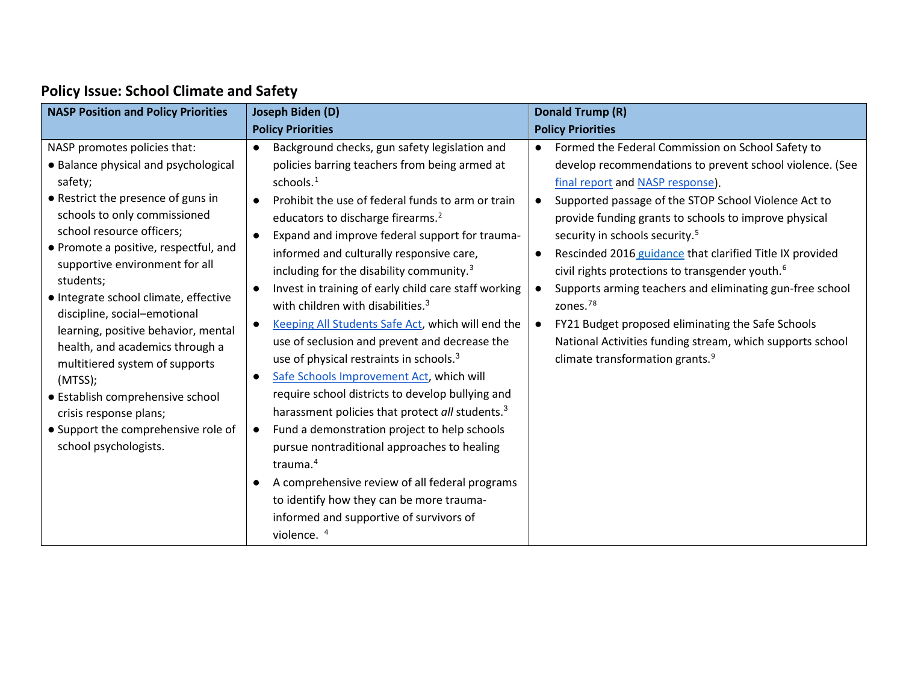# **Policy Issue: School Climate and Safety**

| <b>NASP Position and Policy Priorities</b>  | Joseph Biden (D)                                            | <b>Donald Trump (R)</b>                                        |  |
|---------------------------------------------|-------------------------------------------------------------|----------------------------------------------------------------|--|
|                                             | <b>Policy Priorities</b>                                    | <b>Policy Priorities</b>                                       |  |
| NASP promotes policies that:                | Background checks, gun safety legislation and<br>$\bullet$  | Formed the Federal Commission on School Safety to<br>$\bullet$ |  |
| • Balance physical and psychological        | policies barring teachers from being armed at               | develop recommendations to prevent school violence. (See       |  |
| safety;                                     | schools. <sup>1</sup>                                       | final report and NASP response).                               |  |
| • Restrict the presence of guns in          | Prohibit the use of federal funds to arm or train           | Supported passage of the STOP School Violence Act to           |  |
| schools to only commissioned                | educators to discharge firearms. <sup>2</sup>               | provide funding grants to schools to improve physical          |  |
| school resource officers;                   | Expand and improve federal support for trauma-              | security in schools security. <sup>5</sup>                     |  |
| • Promote a positive, respectful, and       | informed and culturally responsive care,                    | Rescinded 2016 guidance that clarified Title IX provided       |  |
| supportive environment for all<br>students; | including for the disability community. <sup>3</sup>        | civil rights protections to transgender youth. <sup>6</sup>    |  |
| · Integrate school climate, effective       | Invest in training of early child care staff working        | Supports arming teachers and eliminating gun-free school       |  |
| discipline, social-emotional                | with children with disabilities. <sup>3</sup>               | zones. <sup>78</sup>                                           |  |
| learning, positive behavior, mental         | Keeping All Students Safe Act, which will end the           | FY21 Budget proposed eliminating the Safe Schools              |  |
| health, and academics through a             | use of seclusion and prevent and decrease the               | National Activities funding stream, which supports school      |  |
| multitiered system of supports              | use of physical restraints in schools. <sup>3</sup>         | climate transformation grants. <sup>9</sup>                    |  |
| (MTSS);                                     | Safe Schools Improvement Act, which will<br>$\bullet$       |                                                                |  |
| • Establish comprehensive school            | require school districts to develop bullying and            |                                                                |  |
| crisis response plans;                      | harassment policies that protect all students. <sup>3</sup> |                                                                |  |
| • Support the comprehensive role of         | Fund a demonstration project to help schools<br>$\bullet$   |                                                                |  |
| school psychologists.                       | pursue nontraditional approaches to healing                 |                                                                |  |
|                                             | trauma. <sup>4</sup>                                        |                                                                |  |
|                                             | A comprehensive review of all federal programs<br>$\bullet$ |                                                                |  |
|                                             | to identify how they can be more trauma-                    |                                                                |  |
|                                             | informed and supportive of survivors of                     |                                                                |  |
|                                             | violence. <sup>4</sup>                                      |                                                                |  |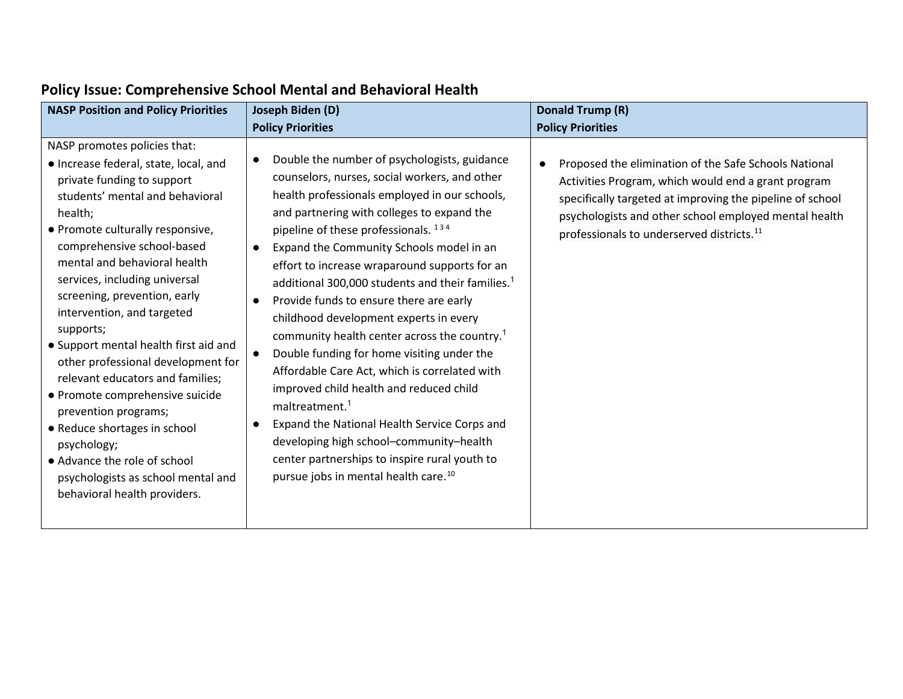| <b>NASP Position and Policy Priorities</b>                                                                                                                                                                                                                                                                                                                                                                                                                                                                                                                                                                                                                                                         | Joseph Biden (D)                                                                                                                                                                                                                                                                                                                                                                                                                                                                                                                                                                                                                                                                                                                                                                                                                                                                                                           | Donald Trump (R)                                                                                                                                                                                                                                                                            |
|----------------------------------------------------------------------------------------------------------------------------------------------------------------------------------------------------------------------------------------------------------------------------------------------------------------------------------------------------------------------------------------------------------------------------------------------------------------------------------------------------------------------------------------------------------------------------------------------------------------------------------------------------------------------------------------------------|----------------------------------------------------------------------------------------------------------------------------------------------------------------------------------------------------------------------------------------------------------------------------------------------------------------------------------------------------------------------------------------------------------------------------------------------------------------------------------------------------------------------------------------------------------------------------------------------------------------------------------------------------------------------------------------------------------------------------------------------------------------------------------------------------------------------------------------------------------------------------------------------------------------------------|---------------------------------------------------------------------------------------------------------------------------------------------------------------------------------------------------------------------------------------------------------------------------------------------|
|                                                                                                                                                                                                                                                                                                                                                                                                                                                                                                                                                                                                                                                                                                    | <b>Policy Priorities</b>                                                                                                                                                                                                                                                                                                                                                                                                                                                                                                                                                                                                                                                                                                                                                                                                                                                                                                   | <b>Policy Priorities</b>                                                                                                                                                                                                                                                                    |
| NASP promotes policies that:<br>· Increase federal, state, local, and<br>private funding to support<br>students' mental and behavioral<br>health;<br>· Promote culturally responsive,<br>comprehensive school-based<br>mental and behavioral health<br>services, including universal<br>screening, prevention, early<br>intervention, and targeted<br>supports;<br>• Support mental health first aid and<br>other professional development for<br>relevant educators and families;<br>• Promote comprehensive suicide<br>prevention programs;<br>• Reduce shortages in school<br>psychology;<br>• Advance the role of school<br>psychologists as school mental and<br>behavioral health providers. | Double the number of psychologists, guidance<br>counselors, nurses, social workers, and other<br>health professionals employed in our schools,<br>and partnering with colleges to expand the<br>pipeline of these professionals. 134<br>Expand the Community Schools model in an<br>effort to increase wraparound supports for an<br>additional 300,000 students and their families. <sup>1</sup><br>Provide funds to ensure there are early<br>childhood development experts in every<br>community health center across the country. <sup>1</sup><br>Double funding for home visiting under the<br>Affordable Care Act, which is correlated with<br>improved child health and reduced child<br>maltreatment. <sup>1</sup><br>Expand the National Health Service Corps and<br>developing high school-community-health<br>center partnerships to inspire rural youth to<br>pursue jobs in mental health care. <sup>10</sup> | Proposed the elimination of the Safe Schools National<br>Activities Program, which would end a grant program<br>specifically targeted at improving the pipeline of school<br>psychologists and other school employed mental health<br>professionals to underserved districts. <sup>11</sup> |

### **Policy Issue: Comprehensive School Mental and Behavioral Health**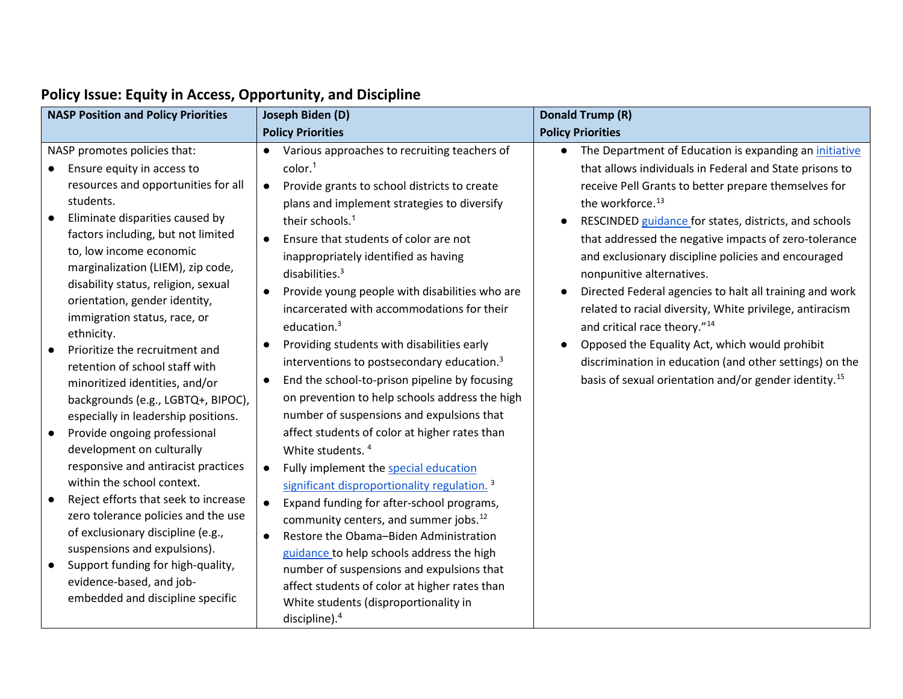|                        | <b>NASP Position and Policy Priorities</b>                                                                                                                                                                                                                                                                                                                                                                                                                                                                                                                                                                                                                                                                                                                                        | Joseph Biden (D)                                                                                                                                                                                                                                                                                                                                                                                                                                                                                                                                                                                                                                                                                                                                                                                                                                                                                                                                                                                              | <b>Donald Trump (R)</b>                                                                                                                                                                                                                                                                                                                                                                                                                                                                                                                                                                                                                                                                                                                                              |
|------------------------|-----------------------------------------------------------------------------------------------------------------------------------------------------------------------------------------------------------------------------------------------------------------------------------------------------------------------------------------------------------------------------------------------------------------------------------------------------------------------------------------------------------------------------------------------------------------------------------------------------------------------------------------------------------------------------------------------------------------------------------------------------------------------------------|---------------------------------------------------------------------------------------------------------------------------------------------------------------------------------------------------------------------------------------------------------------------------------------------------------------------------------------------------------------------------------------------------------------------------------------------------------------------------------------------------------------------------------------------------------------------------------------------------------------------------------------------------------------------------------------------------------------------------------------------------------------------------------------------------------------------------------------------------------------------------------------------------------------------------------------------------------------------------------------------------------------|----------------------------------------------------------------------------------------------------------------------------------------------------------------------------------------------------------------------------------------------------------------------------------------------------------------------------------------------------------------------------------------------------------------------------------------------------------------------------------------------------------------------------------------------------------------------------------------------------------------------------------------------------------------------------------------------------------------------------------------------------------------------|
|                        |                                                                                                                                                                                                                                                                                                                                                                                                                                                                                                                                                                                                                                                                                                                                                                                   | <b>Policy Priorities</b>                                                                                                                                                                                                                                                                                                                                                                                                                                                                                                                                                                                                                                                                                                                                                                                                                                                                                                                                                                                      | <b>Policy Priorities</b>                                                                                                                                                                                                                                                                                                                                                                                                                                                                                                                                                                                                                                                                                                                                             |
| $\bullet$<br>$\bullet$ | NASP promotes policies that:<br>Ensure equity in access to<br>resources and opportunities for all<br>students.<br>Eliminate disparities caused by<br>factors including, but not limited<br>to, low income economic<br>marginalization (LIEM), zip code,<br>disability status, religion, sexual<br>orientation, gender identity,<br>immigration status, race, or<br>ethnicity.<br>Prioritize the recruitment and<br>retention of school staff with<br>minoritized identities, and/or<br>backgrounds (e.g., LGBTQ+, BIPOC),<br>especially in leadership positions.<br>Provide ongoing professional<br>development on culturally<br>responsive and antiracist practices<br>within the school context.<br>Reject efforts that seek to increase<br>zero tolerance policies and the use | Various approaches to recruiting teachers of<br>color <sup>1</sup><br>Provide grants to school districts to create<br>$\bullet$<br>plans and implement strategies to diversify<br>their schools. <sup>1</sup><br>Ensure that students of color are not<br>$\bullet$<br>inappropriately identified as having<br>disabilities. $3$<br>Provide young people with disabilities who are<br>$\bullet$<br>incarcerated with accommodations for their<br>education. $3$<br>Providing students with disabilities early<br>$\bullet$<br>interventions to postsecondary education. <sup>3</sup><br>End the school-to-prison pipeline by focusing<br>$\bullet$<br>on prevention to help schools address the high<br>number of suspensions and expulsions that<br>affect students of color at higher rates than<br>White students. <sup>4</sup><br>Fully implement the special education<br>$\bullet$<br>significant disproportionality regulation. <sup>3</sup><br>Expand funding for after-school programs,<br>$\bullet$ | The Department of Education is expanding an initiative<br>that allows individuals in Federal and State prisons to<br>receive Pell Grants to better prepare themselves for<br>the workforce. <sup>13</sup><br>RESCINDED guidance for states, districts, and schools<br>that addressed the negative impacts of zero-tolerance<br>and exclusionary discipline policies and encouraged<br>nonpunitive alternatives.<br>Directed Federal agencies to halt all training and work<br>related to racial diversity, White privilege, antiracism<br>and critical race theory." <sup>14</sup><br>Opposed the Equality Act, which would prohibit<br>discrimination in education (and other settings) on the<br>basis of sexual orientation and/or gender identity. <sup>15</sup> |
|                        | of exclusionary discipline (e.g.,<br>suspensions and expulsions).<br>Support funding for high-quality,<br>evidence-based, and job-<br>embedded and discipline specific                                                                                                                                                                                                                                                                                                                                                                                                                                                                                                                                                                                                            | community centers, and summer jobs. <sup>12</sup><br>Restore the Obama-Biden Administration<br>$\bullet$<br>guidance to help schools address the high<br>number of suspensions and expulsions that<br>affect students of color at higher rates than<br>White students (disproportionality in<br>discipline). $4$                                                                                                                                                                                                                                                                                                                                                                                                                                                                                                                                                                                                                                                                                              |                                                                                                                                                                                                                                                                                                                                                                                                                                                                                                                                                                                                                                                                                                                                                                      |

### **Policy Issue: Equity in Access, Opportunity, and Discipline**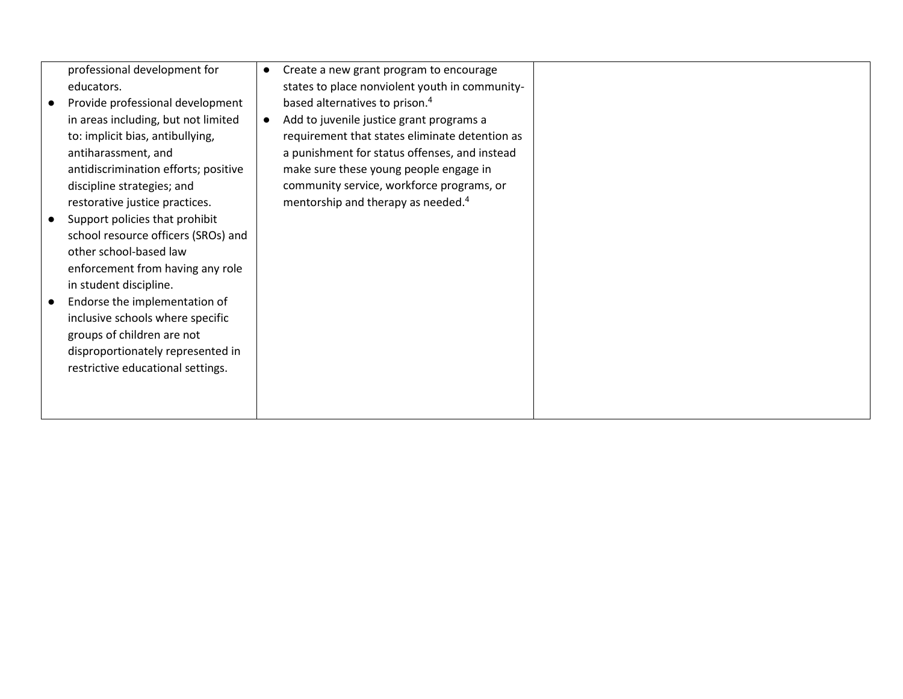|                            | professional development for         | $\bullet$ | Create a new grant program to encourage        |
|----------------------------|--------------------------------------|-----------|------------------------------------------------|
| educators.                 |                                      |           | states to place nonviolent youth in community- |
|                            | Provide professional development     |           | based alternatives to prison. <sup>4</sup>     |
|                            | in areas including, but not limited  | $\bullet$ | Add to juvenile justice grant programs a       |
|                            | to: implicit bias, antibullying,     |           | requirement that states eliminate detention as |
| antiharassment, and        |                                      |           | a punishment for status offenses, and instead  |
|                            | antidiscrimination efforts; positive |           | make sure these young people engage in         |
| discipline strategies; and |                                      |           | community service, workforce programs, or      |
|                            | restorative justice practices.       |           | mentorship and therapy as needed. <sup>4</sup> |
|                            | Support policies that prohibit       |           |                                                |
|                            | school resource officers (SROs) and  |           |                                                |
| other school-based law     |                                      |           |                                                |
|                            | enforcement from having any role     |           |                                                |
| in student discipline.     |                                      |           |                                                |
|                            | Endorse the implementation of        |           |                                                |
|                            | inclusive schools where specific     |           |                                                |
| groups of children are not |                                      |           |                                                |
|                            | disproportionately represented in    |           |                                                |
|                            | restrictive educational settings.    |           |                                                |
|                            |                                      |           |                                                |
|                            |                                      |           |                                                |
|                            |                                      |           |                                                |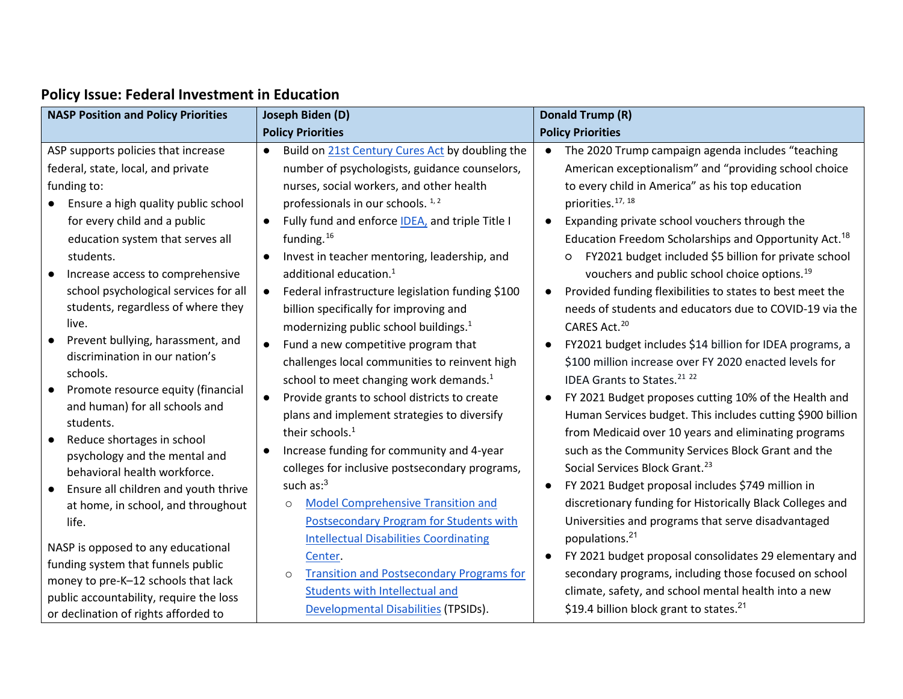| <b>NASP Position and Policy Priorities</b>                          | Joseph Biden (D)                                              | Donald Trump (R)                                                      |
|---------------------------------------------------------------------|---------------------------------------------------------------|-----------------------------------------------------------------------|
|                                                                     | <b>Policy Priorities</b>                                      | <b>Policy Priorities</b>                                              |
| ASP supports policies that increase                                 | Build on 21st Century Cures Act by doubling the<br>$\bullet$  | • The 2020 Trump campaign agenda includes "teaching                   |
| federal, state, local, and private                                  | number of psychologists, guidance counselors,                 | American exceptionalism" and "providing school choice                 |
| funding to:                                                         | nurses, social workers, and other health                      | to every child in America" as his top education                       |
| Ensure a high quality public school                                 | professionals in our schools. <sup>1,2</sup>                  | priorities. <sup>17, 18</sup>                                         |
| for every child and a public                                        | Fully fund and enforce IDEA, and triple Title I<br>$\bullet$  | Expanding private school vouchers through the<br>$\bullet$            |
| education system that serves all                                    | funding. $16$                                                 | Education Freedom Scholarships and Opportunity Act. <sup>18</sup>     |
| students.                                                           | Invest in teacher mentoring, leadership, and<br>$\bullet$     | FY2021 budget included \$5 billion for private school<br>$\circ$      |
| Increase access to comprehensive<br>$\bullet$                       | additional education. <sup>1</sup>                            | vouchers and public school choice options. <sup>19</sup>              |
| school psychological services for all                               | Federal infrastructure legislation funding \$100<br>$\bullet$ | Provided funding flexibilities to states to best meet the             |
| students, regardless of where they                                  | billion specifically for improving and                        | needs of students and educators due to COVID-19 via the               |
| live.                                                               | modernizing public school buildings. <sup>1</sup>             | CARES Act. <sup>20</sup>                                              |
| Prevent bullying, harassment, and<br>discrimination in our nation's | Fund a new competitive program that<br>$\bullet$              | FY2021 budget includes \$14 billion for IDEA programs, a<br>$\bullet$ |
| schools.                                                            | challenges local communities to reinvent high                 | \$100 million increase over FY 2020 enacted levels for                |
| Promote resource equity (financial                                  | school to meet changing work demands. <sup>1</sup>            | IDEA Grants to States. <sup>21</sup> <sup>22</sup>                    |
| and human) for all schools and                                      | Provide grants to school districts to create<br>$\bullet$     | FY 2021 Budget proposes cutting 10% of the Health and                 |
| students.                                                           | plans and implement strategies to diversify                   | Human Services budget. This includes cutting \$900 billion            |
| Reduce shortages in school<br>$\bullet$                             | their schools. <sup>1</sup>                                   | from Medicaid over 10 years and eliminating programs                  |
| psychology and the mental and                                       | Increase funding for community and 4-year                     | such as the Community Services Block Grant and the                    |
| behavioral health workforce.                                        | colleges for inclusive postsecondary programs,                | Social Services Block Grant. <sup>23</sup>                            |
| Ensure all children and youth thrive<br>$\bullet$                   | such $as:3$                                                   | FY 2021 Budget proposal includes \$749 million in                     |
| at home, in school, and throughout                                  | <b>Model Comprehensive Transition and</b><br>$\circ$          | discretionary funding for Historically Black Colleges and             |
| life.                                                               | Postsecondary Program for Students with                       | Universities and programs that serve disadvantaged                    |
| NASP is opposed to any educational                                  | <b>Intellectual Disabilities Coordinating</b>                 | populations. <sup>21</sup>                                            |
| funding system that funnels public                                  | Center.                                                       | FY 2021 budget proposal consolidates 29 elementary and                |
| money to pre-K-12 schools that lack                                 | <b>Transition and Postsecondary Programs for</b><br>$\circ$   | secondary programs, including those focused on school                 |
| public accountability, require the loss                             | <b>Students with Intellectual and</b>                         | climate, safety, and school mental health into a new                  |
| or declination of rights afforded to                                | Developmental Disabilities (TPSIDs).                          | \$19.4 billion block grant to states. <sup>21</sup>                   |

## **Policy Issue: Federal Investment in Education**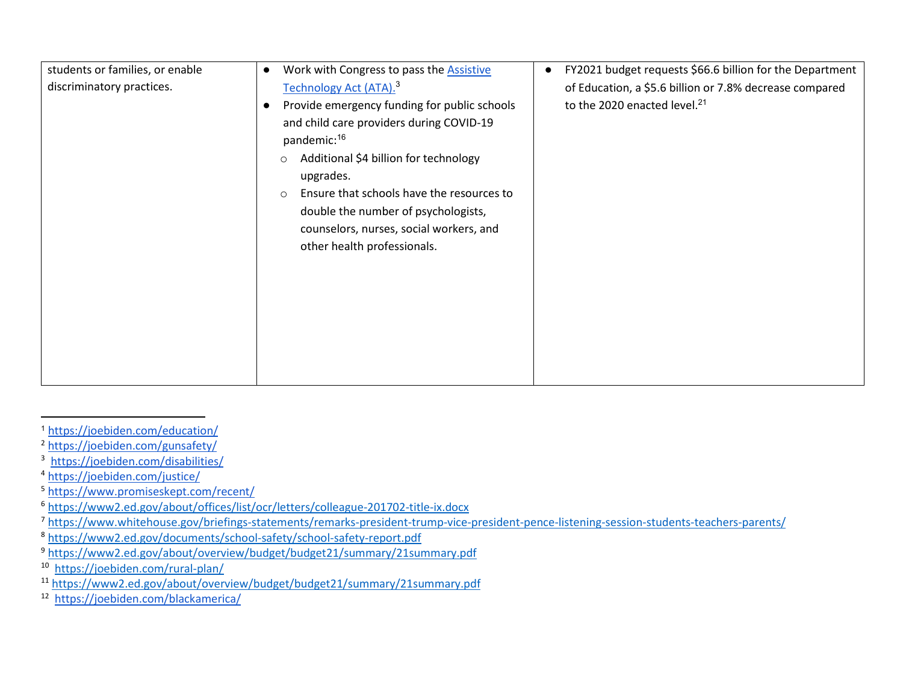| students or families, or enable | Work with Congress to pass the <b>Assistive</b><br>$\bullet$                                                                                                                                                                                                                                                                                                               | FY2021 budget requests \$66.6 billion for the Department |
|---------------------------------|----------------------------------------------------------------------------------------------------------------------------------------------------------------------------------------------------------------------------------------------------------------------------------------------------------------------------------------------------------------------------|----------------------------------------------------------|
| discriminatory practices.       | Technology Act (ATA). <sup>3</sup>                                                                                                                                                                                                                                                                                                                                         | of Education, a \$5.6 billion or 7.8% decrease compared  |
|                                 | Provide emergency funding for public schools<br>$\bullet$<br>and child care providers during COVID-19<br>pandemic: <sup>16</sup><br>Additional \$4 billion for technology<br>$\circ$<br>upgrades.<br>Ensure that schools have the resources to<br>$\circ$<br>double the number of psychologists,<br>counselors, nurses, social workers, and<br>other health professionals. | to the 2020 enacted level. <sup>21</sup>                 |
|                                 |                                                                                                                                                                                                                                                                                                                                                                            |                                                          |

<span id="page-7-0"></span><sup>1</sup> <https://joebiden.com/education/>

<span id="page-7-2"></span><span id="page-7-1"></span><sup>2</sup> <https://joebiden.com/gunsafety/>

<sup>3</sup> <https://joebiden.com/disabilities/>

<span id="page-7-3"></span><sup>4</sup> <https://joebiden.com/justice/>

<span id="page-7-5"></span><span id="page-7-4"></span><sup>5</sup> <https://www.promiseskept.com/recent/><br>6 https://www2.ed.gov/about/offices/list/ocr/letters/colleague-201702-title-ix.docx

<span id="page-7-6"></span><sup>&</sup>lt;sup>7</sup> <https://www.whitehouse.gov/briefings-statements/remarks-president-trump-vice-president-pence-listening-session-students-teachers-parents/>

<span id="page-7-7"></span><sup>8</sup> <https://www2.ed.gov/documents/school-safety/school-safety-report.pdf>

<span id="page-7-8"></span><sup>9</sup> <https://www2.ed.gov/about/overview/budget/budget21/summary/21summary.pdf>

<span id="page-7-10"></span><span id="page-7-9"></span><sup>&</sup>lt;sup>10</sup> https://joebiden.com/rural-plan/<br><sup>11</sup> <https://www2.ed.gov/about/overview/budget/budget21/summary/21summary.pdf>

<span id="page-7-11"></span><sup>12</sup> <https://joebiden.com/blackamerica/>